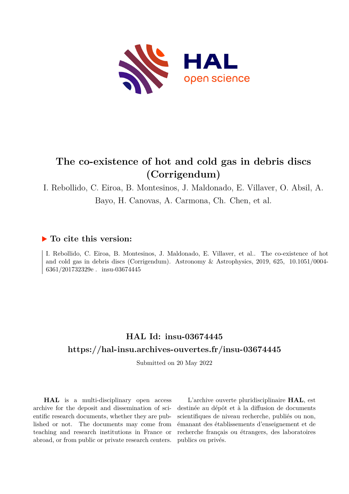

# **The co-existence of hot and cold gas in debris discs (Corrigendum)**

I. Rebollido, C. Eiroa, B. Montesinos, J. Maldonado, E. Villaver, O. Absil, A. Bayo, H. Canovas, A. Carmona, Ch. Chen, et al.

### **To cite this version:**

I. Rebollido, C. Eiroa, B. Montesinos, J. Maldonado, E. Villaver, et al.. The co-existence of hot and cold gas in debris discs (Corrigendum). Astronomy & Astrophysics, 2019, 625, 10.1051/0004-6361/201732329e. insu-03674445

## **HAL Id: insu-03674445 <https://hal-insu.archives-ouvertes.fr/insu-03674445>**

Submitted on 20 May 2022

**HAL** is a multi-disciplinary open access archive for the deposit and dissemination of scientific research documents, whether they are published or not. The documents may come from teaching and research institutions in France or abroad, or from public or private research centers.

L'archive ouverte pluridisciplinaire **HAL**, est destinée au dépôt et à la diffusion de documents scientifiques de niveau recherche, publiés ou non, émanant des établissements d'enseignement et de recherche français ou étrangers, des laboratoires publics ou privés.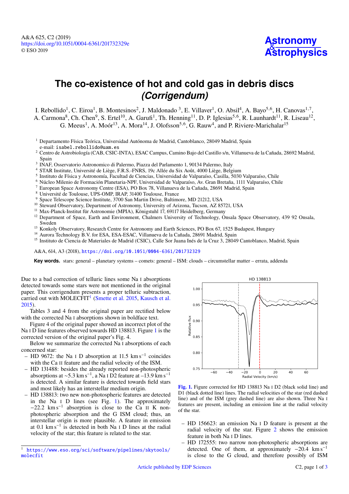# **The co-existence of hot and cold gas in debris discs** *(Corrigendum)*

I. Rebollido<sup>1</sup>, C. Eiroa<sup>1</sup>, B. Montesinos<sup>2</sup>, J. Maldonado<sup>3</sup>, E. Villaver<sup>1</sup>, O. Absil<sup>4</sup>, A. Bayo<sup>5,6</sup>, H. Canovas<sup>1,7</sup>,

A. Carmona<sup>8</sup>, Ch. Chen<sup>9</sup>, S. Ertel<sup>10</sup>, A. Garufi<sup>1</sup>, Th. Henning<sup>11</sup>, D. P. Iglesias<sup>5,6</sup>, R. Launhardt<sup>11</sup>, R. Liseau<sup>12</sup>, G. Meeus<sup>1</sup>, A. Moór<sup>13</sup>, A. Mora<sup>14</sup>, J. Olofsson<sup>5,6</sup>, G. Rauw<sup>4</sup>, and P. Riviere-Marichalar<sup>15</sup>

- <sup>1</sup> Departamento Física Teórica, Universidad Autónoma de Madrid, Cantoblanco, 28049 Madrid, Spain e-mail: [isabel.rebollido@uam.es](mailto:isabel.rebollido@uam.es)
- 2 Centro de Astrobiología (CAB, CSIC-INTA), ESAC Campus, Camino Bajo del Castillo s/n, Villanueva de la Cañada, 28692 Madrid, Spain
- 3 INAF, Osservatorio Astronomico di Palermo, Piazza del Parlamento 1, 90134 Palermo, Italy
- <sup>4</sup> STAR Institute, Université de Liège, F.R.S.-FNRS, 19c Allée du Six Août, 4000 Liège, Belgium
- 5 Instituto de Física y Astronomía, Facultad de Ciencias, Universidad de Valparaíso, Casilla, 5030 Valparaíso, Chile
- <sup>6</sup> Núcleo Milenio de Formación Planetaria-NPF, Universidad de Valparaíso, Av. Gran Bretaña, 1111 Valparaíso, Chile
- <sup>7</sup> European Space Astronomy Centre (ESA), PO Box 78, Villanueva de la Cañada, 28691 Madrid, Spain
- $8 \text{ Université de Toulouse, UPS-OMP, IRAP, } 31400 \text{ Toulouse, France}$
- <sup>9</sup> Space Telescope Science Institute, 3700 San Martin Drive, Baltimore, MD 21212, USA
- <sup>10</sup> Steward Observatory, Department of Astronomy, University of Arizona, Tucson, AZ 85721, USA
- <sup>11</sup> Max-Planck-Institut für Astronomie (MPIA), Königstuhl 17, 69117 Heidelberg, Germany
- <sup>12</sup> Department of Space, Earth and Environment, Chalmers University of Technology, Onsala Space Observatory, 439 92 Onsala, Sweden
- <sup>13</sup> Konkoly Observatory, Research Centre for Astronomy and Earth Sciences, PO Box 67, 1525 Budapest, Hungary
- <sup>14</sup> Aurora Technology B.V. for ESA, ESA-ESAC, Villanueva de la Cañada, 28691 Madrid, Spain
- <sup>15</sup> Instituto de Ciencia de Materiales de Madrid (CSIC), Calle Sor Juana Inés de la Cruz 3, 28049 Cantoblanco, Madrid, Spain

A&A, 614, A3 (2018), <https://doi.org/10.1051/0004-6361/201732329>

**Key words.** stars: general – planetary systems – comets: general – ISM: clouds – circumstellar matter – errata, addenda

Due to a bad correction of telluric lines some Na I absorptions detected towards some stars were not mentioned in the original paper. This corrigendum presents a proper telluric subtraction, carried out with MOLECFIT<sup>1</sup> (Smette et al. 2015, Kausch et al. 2015).

Tables 3 and 4 from the original paper are rectified below with the corrected Na I absorptions shown in boldface text.

Figure 4 of the original paper showed an incorrect plot of the Na I D line features observed towards HD 138813. Figure 1 is the corrected version of the original paper's Fig. 4.

Below we summarize the corrected Na I absorptions of each concerned star:

- HD 9672: the Na <sup>I</sup> D absorption at 11.5 km s<sup>−</sup><sup>1</sup> coincides with the Ca II feature and the radial velocity of the ISM.
- HD 131488: besides the already reported non-photospheric absorptions at ~5.3 km s<sup>-1</sup>, a Na I D2 feature at -13.9 km s<sup>-1</sup> is detected. A similar feature is detected towards field stars and most likely has an interstellar medium origin.
- HD 138813: two new non-photospheric features are detected in the Na I D lines (see Fig. 1). The approximately −22.2 km s<sup>−</sup><sup>1</sup> absorption is close to the Ca II K nonphotospheric absorption and the G ISM cloud; thus, an interstellar origin is more plausible. A feature in emission at 0.1 km s<sup>−</sup><sup>1</sup> is detected in both Na I D lines at the radial velocity of the star; this feature is related to the star.



[Fig. 1.](http://dexter.edpsciences.org/applet.php?DOI=10.1051/0004-6361/201732329e&pdf_id=0) Figure corrected for HD 138813 Na I D2 (black solid line) and D1 (black dotted line) lines. The radial velocities of the star (red dashed line) and of the ISM (grey dashed line) are also shown. Three Na I features are present, including an emission line at the radial velocity of the star.

- HD 156623: an emission Na I D feature is present at the radial velocity of the star. Figure 2 shows the emission feature in both Na I D lines.
- HD 172555: two narrow non-photospheric absorptions are detected. One of them, at approximately  $-20.4 \text{ km s}^{-1}$ is close to the G cloud, and therefore possibly of ISM

<sup>1</sup> [https://www.eso.org/sci/software/pipelines/skytools/](https://www.eso.org/sci/software/pipelines/skytools/molecfit) [molecfit](https://www.eso.org/sci/software/pipelines/skytools/molecfit)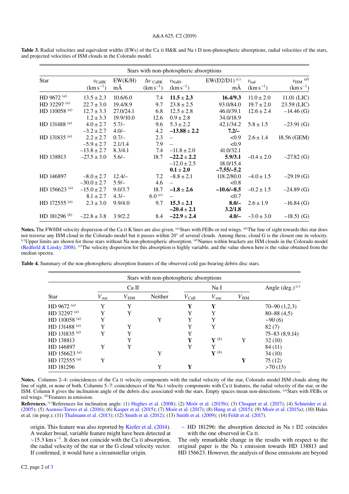| Stars with non-photospheric absorptions |                                  |               |                                    |                                    |                         |                                |                                         |  |  |  |  |
|-----------------------------------------|----------------------------------|---------------|------------------------------------|------------------------------------|-------------------------|--------------------------------|-----------------------------------------|--|--|--|--|
| <b>Star</b>                             | $v_{\rm CaIIK}$<br>$(km s^{-1})$ | EW(K/H)<br>mÅ | $\Delta v$ Call K<br>$(km s^{-1})$ | $v_{\text{NaID}}$<br>$(km s^{-1})$ | $EW(D2/D1)^{(c)}$<br>mA | $v_{\rm rad}$<br>$(km s^{-1})$ | $v_{\rm ISM}$ $^{(d)}$<br>$(km s^{-1})$ |  |  |  |  |
| HD 9672 $(a)$                           | $13.5 \pm 2.3$                   | 10.6/6.0      | 7.4                                | $11.5 \pm 2.3$                     | 16.4/9.3                | $11.0 \pm 2.0$                 | 11.01 (LIC)                             |  |  |  |  |
| HD 32297 $(a)$                          | $22.7 \pm 3.0$                   | 19.4/8.9      | 9.7                                | $23.8 \pm 2.5$                     | 93.0/84.0               | $19.7 \pm 2.0$                 | 23.59 (LIC)                             |  |  |  |  |
| HD 110058 $(a)$                         | $12.7 \pm 3.3$                   | 27.0/24.1     | 6.8                                | $12.5 \pm 2.8$                     | 46.0/39.1               | $12.6 \pm 2.4$                 | $-14.46$ (G)                            |  |  |  |  |
|                                         | $1.2 \pm 3.3$                    | 19.9/10.0     | 12.6                               | $0.9 \pm 2.8$                      | 34.0/18.9               |                                |                                         |  |  |  |  |
| HD 131488 $(a)$                         | $4.0 \pm 2.7$                    | $5.7/-$       | 9.6                                | $5.3 \pm 2.2$                      | 42.1/34.2               | $5.8 \pm 1.5$                  | $-23.91$ (G)                            |  |  |  |  |
|                                         | $-3.2 \pm 2.7$                   | $4.0/-$       | 4.2                                | $-13.88 \pm 2.2$                   | $7.2/-$                 |                                |                                         |  |  |  |  |
| HD 131835 $(a)$                         | $2.2 \pm 2.7$                    | $0.7/-$       | 2.3                                |                                    | < 0.9                   | $2.6 \pm 1.4$                  | 18.56 (GEM)                             |  |  |  |  |
|                                         | $-5.9 \pm 2.7$                   | 2.1/1.4       | 7.9                                | $\equiv$                           | < 0.9                   |                                |                                         |  |  |  |  |
|                                         | $-13.8 \pm 2.7$                  | 8.3/4.1       | 7.4                                | $-11.8 \pm 2.0$                    | 41.0/32.1               |                                |                                         |  |  |  |  |
| HD 138813                               | $-27.5 \pm 3.0$                  | $5.6/-$       | 18.7                               | $-22.2 \pm 2.2$                    | 5.9/3.1                 | $-0.4 \pm 2.0$                 | $-27.82$ (G)                            |  |  |  |  |
|                                         |                                  |               |                                    | $-12.0 \pm 2.5$                    | 18.0/15.4               |                                |                                         |  |  |  |  |
|                                         |                                  |               |                                    | $0.1 \pm 2.0$                      | $-7.55/-5.2$            |                                |                                         |  |  |  |  |
| HD 146897                               | $-8.0 \pm 2.7$                   | $12.4/-$      | 7.2                                | $-8.8 \pm 2.1$                     | 118.2/80.0              | $-4.0 \pm 1.5$                 | $-29.19$ (G)                            |  |  |  |  |
|                                         | $-30.0 \pm 2.7$                  | $5.9/-$       | 4.6                                |                                    | < 0.8                   |                                |                                         |  |  |  |  |
| HD 156623 $(a)$                         | $-15.0 \pm 2.7$                  | 9.0/3.7       | 18.7                               | $-1.8 \pm 2.6$                     | $-10.6/-8.5$            | $-0.2 \pm 1.5$                 | $-24.89$ (G)                            |  |  |  |  |
|                                         | $8.1 \pm 2.7$                    | $4.3/-$       | $6.0^{(e)}$                        |                                    | < 0.7                   |                                |                                         |  |  |  |  |
| HD 172555 $^{(a)}$                      | $2.3 \pm 3.0$                    | 9.9/4.0       | 9.7                                | $15.3 \pm 2.1$                     | $8.0 -$                 | $2.6 \pm 1.9$                  | $-16.84$ (G)                            |  |  |  |  |
|                                         |                                  |               |                                    | $-20.4 \pm 2.1$                    | 3.2/1.8                 |                                |                                         |  |  |  |  |
| HD 181296 <sup>(b)</sup>                | $-22.8 \pm 3.8$                  | 3.9/2.2       | 8.4                                | $-22.9 \pm 2.4$                    | $4.0/-$                 | $-3.0 \pm 3.0$                 | $-18.51$ (G)                            |  |  |  |  |

Table 3. Radial velocities and equivalent widths (EWs) of the Ca II H&K and Na I D non-photospheric absorptions, radial velocities of the stars, and projected velocities of ISM clouds in the Colorado model.

Notes. The FWHM velocity dispersion of the Ca II K lines are also given. <sup>(a)</sup>Stars with FEBs or red wings. <sup>(b)</sup>The line of sight towards this star does not traverse any ISM cloud in the Colorado model but it passes within 20◦ of several clouds. Among these, cloud G is the closest one in velocity. (*c*)Upper limits are shown for those stars without Na non-photospheric absorption. (*d*)Names within brackets are ISM clouds in the Colorado model (Redfield & Linsky 2008). (*e*)The velocity dispersion for this absorption is highly variable, and the value shown here is the value obtained from the median spectra.

Table 4. Summary of the non-photospheric absorption features of the observed cold gas-bearing debris disc stars.

| <b>Star</b>     | Ca <sub>II</sub> |               |         | Na I           |                 |               | Angle $(\text{deg.})^{(c)}$ |
|-----------------|------------------|---------------|---------|----------------|-----------------|---------------|-----------------------------|
|                 | $V_{\rm star}$   | $V_{\rm ISM}$ | Neither | $V_{\rm CaII}$ | $V_{\rm star}$  | $V_{\rm ISM}$ |                             |
| HD 9672 $(a)$   | Y                | Y             |         | Y              | Y               |               | $70 - 90(1,2,3)$            |
| HD 32297 (a)    | Y                | Y             |         | Y              | Y               |               | $80 - 88(4,5)$              |
| HD 110058 $(a)$ | Y                |               | Y       | Y              | Y               |               | $\sim$ 90 $(6)$             |
| HD 131488 $(a)$ | Y                | Y             |         | Y              | Y               |               | 82(7)                       |
| HD 131835 $(a)$ | Y                | Y             |         | Y              |                 |               | $75 - 83(8, 9, 14)$         |
| HD 138813       |                  | Y             |         | Y              | ${\bf Y}^{(b)}$ | Y             | 32(10)                      |
| HD 146897       | Y                | Y             |         | Y              | Y               |               | 84 (11)                     |
| HD 156623 $(a)$ |                  |               | Y       |                | ${\bf Y}^{(b)}$ |               | 34(10)                      |
| HD 172555 $(a)$ | Y                |               |         |                |                 | Y             | 75(12)                      |
| HD 181296       |                  |               | Y       | Y              |                 |               | >70(13)                     |

Notes. Columns 2–4: coincidences of the Ca II velocity components with the radial velocity of the star, Colorado model ISM clouds along the line of sight, or none of both. Columns 5–7: coincidences of the Na I velocity components with Ca II features, the radial velocity of the star, or the ISM. Column 8 gives the inclination angle of the debris disc associated with the stars. Empty spaces mean non-detections. (*a*)Stars with FEBs or red wings. (*b*)Features in emission.

References. <sup>(c)</sup>References for inclination angle: (1) Hughes et al. (2008); (2) Moór et al. (2015b); (3) Choquet et al. (2017); (4) Schneider et al. (2005); (5) Asensio-Torres et al. (2016); (6) Kasper et al. (2015); (7) Moór et al. (2017); (8) Hung et al. (2015); (9) Moór et al. (2015a); (10) Hales et al. (in prep.); (11) Thalmann et al. (2013); (12) Smith et al. (2012); (13) Smith et al. (2009); (14) Feldt et al. (2017).

origin. This feature was also reported by Kiefer et al. (2014). A weaker broad, variable feature might have been detected at ∼15.3 km s<sup>−</sup><sup>1</sup> . It does not coincide with the Ca II absorption, the radial velocity of the star or the G cloud velocity vector. If confirmed, it would have a circumstellar origin.

– HD 181296: the absorption detected in Na I D2 coincides with the one observed in Ca II.

The only remarkable change in the results with respect to the original paper is the Na I emission towards HD 138813 and HD 156623. However, the analysis of those emissions are beyond